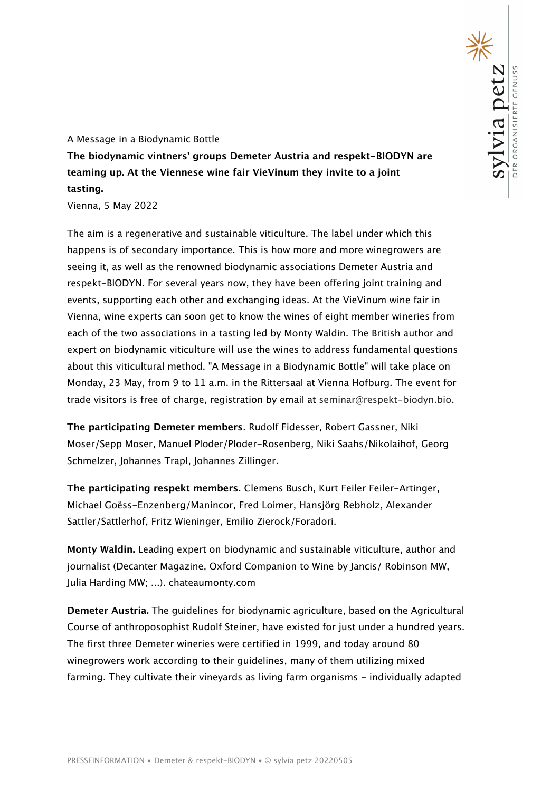A Message in a Biodynamic Bottle **The biodynamic vintners' groups Demeter Austria and respekt-BIODYN are teaming up. At the Viennese wine fair VieVinum they invite to a joint tasting.**

Vienna, 5 May 2022

The aim is a regenerative and sustainable viticulture. The label under which this happens is of secondary importance. This is how more and more winegrowers are seeing it, as well as the renowned biodynamic associations Demeter Austria and respekt-BIODYN. For several years now, they have been offering joint training and events, supporting each other and exchanging ideas. At the VieVinum wine fair in Vienna, wine experts can soon get to know the wines of eight member wineries from each of the two associations in a tasting led by Monty Waldin. The British author and expert on biodynamic viticulture will use the wines to address fundamental questions about this viticultural method. "A Message in a Biodynamic Bottle" will take place on Monday, 23 May, from 9 to 11 a.m. in the Rittersaal at Vienna Hofburg. The event for trade visitors is free of charge, registration by email at seminar@respekt-biodyn.bio.

**The participating Demeter members**. Rudolf Fidesser, Robert Gassner, Niki Moser/Sepp Moser, Manuel Ploder/Ploder-Rosenberg, Niki Saahs/Nikolaihof, Georg Schmelzer, Johannes Trapl, Johannes Zillinger.

**The participating respekt members**. Clemens Busch, Kurt Feiler Feiler-Artinger, Michael Goëss-Enzenberg/Manincor, Fred Loimer, Hansjörg Rebholz, Alexander Sattler/Sattlerhof, Fritz Wieninger, Emilio Zierock/Foradori.

**Monty Waldin.** Leading expert on biodynamic and sustainable viticulture, author and journalist (Decanter Magazine, Oxford Companion to Wine by Jancis/ Robinson MW, Julia Harding MW; ...). chateaumonty.com

**Demeter Austria.** The guidelines for biodynamic agriculture, based on the Agricultural Course of anthroposophist Rudolf Steiner, have existed for just under a hundred years. The first three Demeter wineries were certified in 1999, and today around 80 winegrowers work according to their guidelines, many of them utilizing mixed farming. They cultivate their vineyards as living farm organisms - individually adapted